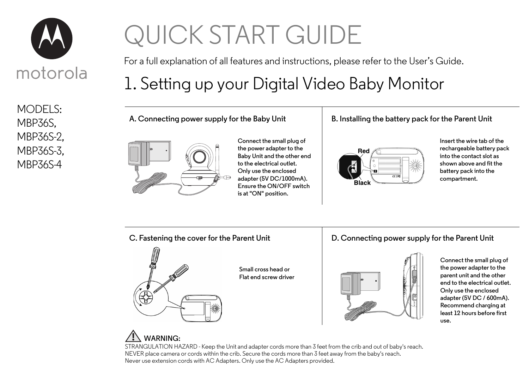

MODELS: MBP36S, MBP36S-2, MBP36S-3, MBP36S-4

# QUICK START GUIDE

For a full explanation of all features and instructions, please refer to the User's Guide.

# 1. Setting up your Digital Video Baby Monitor

**A. Connecting power supply for the Baby Unit**



**Connect the small plug of the power adapter to the Baby Unit and the other end to the electrical outlet. Only use the enclosed adapter (5V DC/1000mA). Ensure the ON/OFF switch is at "ON" position.**

#### **B. Installing the battery pack for the Parent Unit**



**Insert the wire tab of the rechargeable battery pack into the contact slot as shown above and fit the battery pack into the compartment.**

**C. Fastening the cover for the Parent Unit**



**Small cross head or Flat end screw driver**

#### **D. Connecting power supply for the Parent Unit**



**Connect the small plug of the power adapter to the parent unit and the other end to the electrical outlet. Only use the enclosed adapter (5V DC / 600mA). Recommend charging at least 12 hours before first use.**

### **WARNING:**

STRANGULATION HAZARD - Keep the Unit and adapter cords more than 3 feet from the crib and out of baby's reach. NEVER place camera or cords within the crib. Secure the cords more than 3 feet away from the baby's reach. Never use extension cords with AC Adapters. Only use the AC Adapters provided.